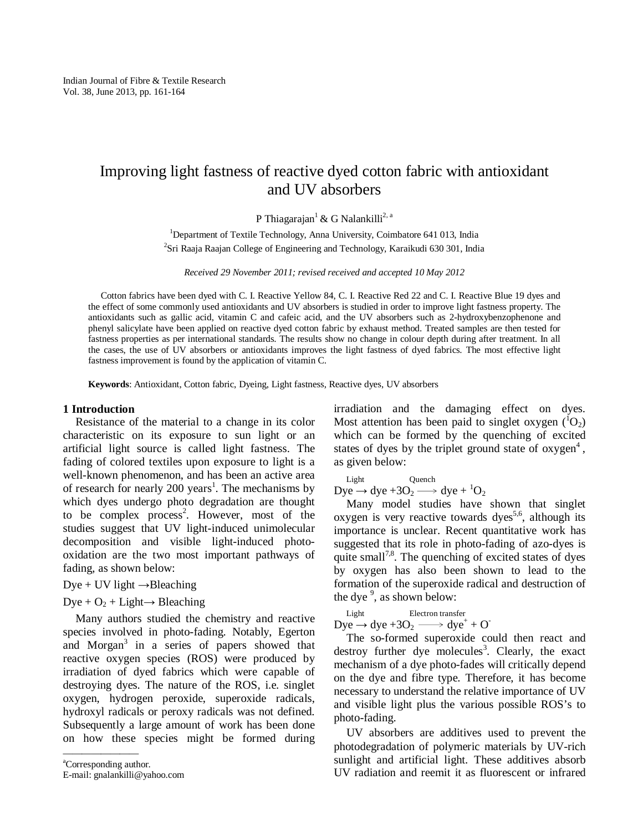# Improving light fastness of reactive dyed cotton fabric with antioxidant and UV absorbers

P Thiagarajan<sup>1</sup> & G Nalankilli<sup>2, a</sup>

<sup>1</sup>Department of Textile Technology, Anna University, Coimbatore 641 013, India <sup>2</sup>Sri Raaja Raajan College of Engineering and Technology, Karaikudi 630 301, India

*Received 29 November 2011; revised received and accepted 10 May 2012* 

Cotton fabrics have been dyed with C. I. Reactive Yellow 84, C. I. Reactive Red 22 and C. I. Reactive Blue 19 dyes and the effect of some commonly used antioxidants and UV absorbers is studied in order to improve light fastness property. The antioxidants such as gallic acid, vitamin C and cafeic acid, and the UV absorbers such as 2-hydroxybenzophenone and phenyl salicylate have been applied on reactive dyed cotton fabric by exhaust method. Treated samples are then tested for fastness properties as per international standards. The results show no change in colour depth during after treatment. In all the cases, the use of UV absorbers or antioxidants improves the light fastness of dyed fabrics. The most effective light fastness improvement is found by the application of vitamin C.

**Keywords**: Antioxidant, Cotton fabric, Dyeing, Light fastness, Reactive dyes, UV absorbers

# **1 Introduction**

Resistance of the material to a change in its color characteristic on its exposure to sun light or an artificial light source is called light fastness. The fading of colored textiles upon exposure to light is a well-known phenomenon, and has been an active area of research for nearly 200 years<sup>1</sup>. The mechanisms by which dyes undergo photo degradation are thought to be complex process<sup>2</sup>. However, most of the studies suggest that UV light-induced unimolecular decomposition and visible light-induced photooxidation are the two most important pathways of fading, as shown below:

 $Dye + UV$  light  $\rightarrow$ Bleaching

Dye +  $O_2$  + Light $\rightarrow$  Bleaching

Many authors studied the chemistry and reactive species involved in photo-fading. Notably, Egerton and Morgan<sup>3</sup> in a series of papers showed that reactive oxygen species (ROS) were produced by irradiation of dyed fabrics which were capable of destroying dyes. The nature of the ROS, i.e. singlet oxygen, hydrogen peroxide, superoxide radicals, hydroxyl radicals or peroxy radicals was not defined. Subsequently a large amount of work has been done on how these species might be formed during

<sup>a</sup>Corresponding author. E-mail: gnalankilli@yahoo.com

————————

irradiation and the damaging effect on dyes. Most attention has been paid to singlet oxygen  $({}^{1}O_{2})$ which can be formed by the quenching of excited states of dyes by the triplet ground state of  $oxygen<sup>4</sup>$ , as given below:

Light Quench Dye  $\rightarrow$  dye +3O<sub>2</sub>  $\rightarrow$  dye +  $^{1}O_{2}$ 

Many model studies have shown that singlet oxygen is very reactive towards dyes<sup>5,6</sup>, although its importance is unclear. Recent quantitative work has suggested that its role in photo-fading of azo-dyes is quite small<sup>7,8</sup>. The quenching of excited states of dyes by oxygen has also been shown to lead to the formation of the superoxide radical and destruction of the dye<sup>9</sup>, as shown below:

 Light Electron transfer Dye  $\rightarrow$  dye +3O<sub>2</sub>  $\longrightarrow$  dye<sup>+</sup> + O<sup>-</sup>

The so-formed superoxide could then react and destroy further dye molecules<sup>3</sup>. Clearly, the exact mechanism of a dye photo-fades will critically depend on the dye and fibre type. Therefore, it has become necessary to understand the relative importance of UV and visible light plus the various possible ROS's to photo-fading.

UV absorbers are additives used to prevent the photodegradation of polymeric materials by UV-rich sunlight and artificial light. These additives absorb UV radiation and reemit it as fluorescent or infrared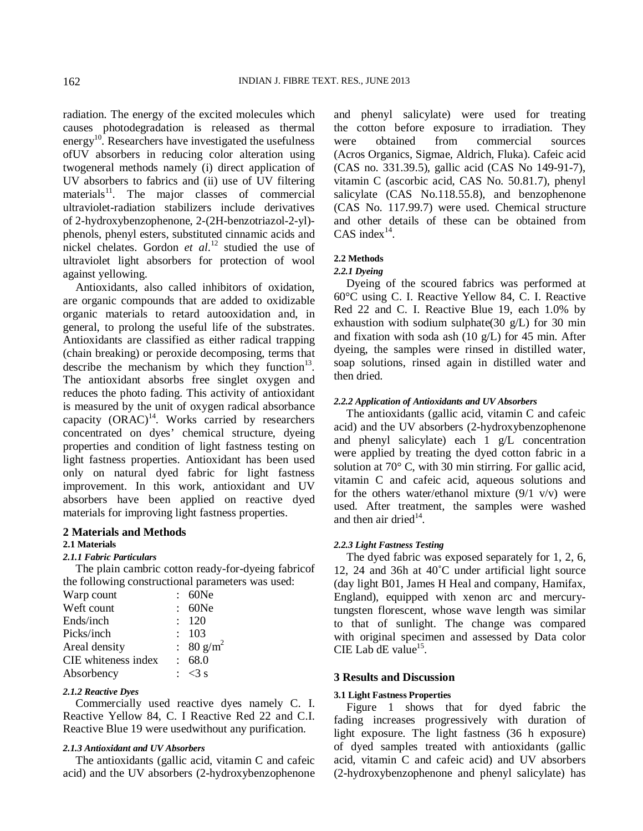radiation. The energy of the excited molecules which causes photodegradation is released as thermal energy<sup>10</sup>. Researchers have investigated the usefulness ofUV absorbers in reducing color alteration using twogeneral methods namely (i) direct application of UV absorbers to fabrics and (ii) use of UV filtering  $materials<sup>11</sup>$ . The major classes of commercial ultraviolet-radiation stabilizers include derivatives of 2-hydroxybenzophenone, 2-(2H-benzotriazol-2-yl) phenols, phenyl esters, substituted cinnamic acids and nickel chelates. Gordon *et al*. <sup>12</sup> studied the use of ultraviolet light absorbers for protection of wool against yellowing.

Antioxidants, also called inhibitors of oxidation, are organic compounds that are added to oxidizable organic materials to retard autooxidation and, in general, to prolong the useful life of the substrates. Antioxidants are classified as either radical trapping (chain breaking) or peroxide decomposing, terms that describe the mechanism by which they function $13$ . The antioxidant absorbs free singlet oxygen and reduces the photo fading. This activity of antioxidant is measured by the unit of oxygen radical absorbance capacity  $(ORAC)^{14}$ . Works carried by researchers concentrated on dyes' chemical structure, dyeing properties and condition of light fastness testing on light fastness properties. Antioxidant has been used only on natural dyed fabric for light fastness improvement. In this work, antioxidant and UV absorbers have been applied on reactive dyed materials for improving light fastness properties.

#### **2 Materials and Methods**

#### **2.1 Materials**

#### *2.1.1 Fabric Particulars*

The plain cambric cotton ready-for-dyeing fabricof the following constructional parameters was used:

| 60Ne                  |
|-----------------------|
| 60Ne                  |
| : 120                 |
| : 103                 |
| : 80 g/m <sup>2</sup> |
| : 68.0                |
| $\approx$ <3 s        |
|                       |

### *2.1.2 Reactive Dyes*

Commercially used reactive dyes namely C. I. Reactive Yellow 84, C. I Reactive Red 22 and C.I. Reactive Blue 19 were usedwithout any purification.

## *2.1.3 Antioxidant and UV Absorbers*

The antioxidants (gallic acid, vitamin C and cafeic acid) and the UV absorbers (2-hydroxybenzophenone

and phenyl salicylate) were used for treating the cotton before exposure to irradiation. They were obtained from commercial sources (Acros Organics, Sigmae, Aldrich, Fluka). Cafeic acid (CAS no. 331.39.5), gallic acid (CAS No 149-91-7), vitamin C (ascorbic acid, CAS No. 50.81.7), phenyl salicylate (CAS No.118.55.8), and benzophenone (CAS No. 117.99.7) were used. Chemical structure and other details of these can be obtained from CAS index $^{14}$ .

## **2.2 Methods**

#### *2.2.1 Dyeing*

Dyeing of the scoured fabrics was performed at 60°C using C. I. Reactive Yellow 84, C. I. Reactive Red 22 and C. I. Reactive Blue 19, each 1.0% by exhaustion with sodium sulphate(30  $g/L$ ) for 30 min and fixation with soda ash (10 g/L) for 45 min. After dyeing, the samples were rinsed in distilled water, soap solutions, rinsed again in distilled water and then dried.

#### *2.2.2 Application of Antioxidants and UV Absorbers*

The antioxidants (gallic acid, vitamin C and cafeic acid) and the UV absorbers (2-hydroxybenzophenone and phenyl salicylate) each 1 g/L concentration were applied by treating the dyed cotton fabric in a solution at 70° C, with 30 min stirring. For gallic acid, vitamin C and cafeic acid, aqueous solutions and for the others water/ethanol mixture  $(9/1 \text{ v/v})$  were used. After treatment, the samples were washed and then air dried $14$ .

#### *2.2.3 Light Fastness Testing*

The dyed fabric was exposed separately for 1, 2, 6, 12, 24 and 36h at 40˚C under artificial light source (day light B01, James H Heal and company, Hamifax, England), equipped with xenon arc and mercurytungsten florescent, whose wave length was similar to that of sunlight. The change was compared with original specimen and assessed by Data color CIE Lab dE value<sup>15</sup>.

# **3 Results and Discussion**

#### **3.1 Light Fastness Properties**

Figure 1 shows that for dyed fabric the fading increases progressively with duration of light exposure. The light fastness (36 h exposure) of dyed samples treated with antioxidants (gallic acid, vitamin C and cafeic acid) and UV absorbers (2-hydroxybenzophenone and phenyl salicylate) has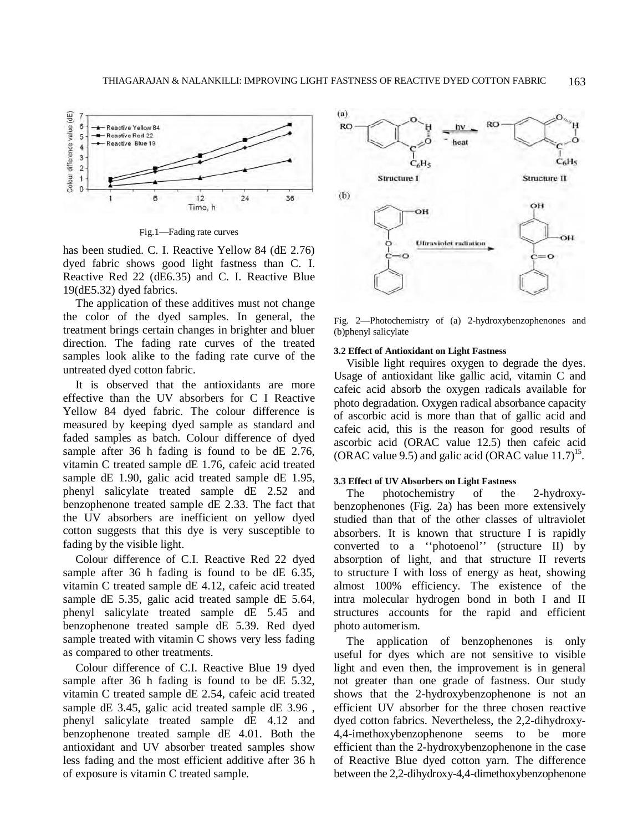

Fig.1—Fading rate curves

has been studied. C. I. Reactive Yellow 84 (dE 2.76) dyed fabric shows good light fastness than C. I. Reactive Red 22 (dE6.35) and C. I. Reactive Blue 19(dE5.32) dyed fabrics.

The application of these additives must not change the color of the dyed samples. In general, the treatment brings certain changes in brighter and bluer direction. The fading rate curves of the treated samples look alike to the fading rate curve of the untreated dyed cotton fabric.

It is observed that the antioxidants are more effective than the UV absorbers for C I Reactive Yellow 84 dyed fabric. The colour difference is measured by keeping dyed sample as standard and faded samples as batch. Colour difference of dyed sample after 36 h fading is found to be dE 2.76, vitamin C treated sample dE 1.76, cafeic acid treated sample dE 1.90, galic acid treated sample dE 1.95, phenyl salicylate treated sample dE 2.52 and benzophenone treated sample dE 2.33. The fact that the UV absorbers are inefficient on yellow dyed cotton suggests that this dye is very susceptible to fading by the visible light.

Colour difference of C.I. Reactive Red 22 dyed sample after 36 h fading is found to be dE 6.35, vitamin C treated sample dE 4.12, cafeic acid treated sample dE 5.35, galic acid treated sample dE 5.64, phenyl salicylate treated sample dE 5.45 and benzophenone treated sample dE 5.39. Red dyed sample treated with vitamin C shows very less fading as compared to other treatments.

Colour difference of C.I. Reactive Blue 19 dyed sample after 36 h fading is found to be dE 5.32, vitamin C treated sample dE 2.54, cafeic acid treated sample dE 3.45, galic acid treated sample dE 3.96 , phenyl salicylate treated sample dE 4.12 and benzophenone treated sample dE 4.01. Both the antioxidant and UV absorber treated samples show less fading and the most efficient additive after 36 h of exposure is vitamin C treated sample.



Fig. 2—Photochemistry of (a) 2-hydroxybenzophenones and (b)phenyl salicylate

#### **3.2 Effect of Antioxidant on Light Fastness**

Visible light requires oxygen to degrade the dyes. Usage of antioxidant like gallic acid, vitamin C and cafeic acid absorb the oxygen radicals available for photo degradation. Oxygen radical absorbance capacity of ascorbic acid is more than that of gallic acid and cafeic acid, this is the reason for good results of ascorbic acid (ORAC value 12.5) then cafeic acid (ORAC value 9.5) and galic acid (ORAC value  $11.7$ )<sup>15</sup>.

# **3.3 Effect of UV Absorbers on Light Fastness**

The photochemistry of the 2-hydroxybenzophenones (Fig. 2a) has been more extensively studied than that of the other classes of ultraviolet absorbers. It is known that structure I is rapidly converted to a ''photoenol'' (structure II) by absorption of light, and that structure II reverts to structure I with loss of energy as heat, showing almost 100% efficiency. The existence of the intra molecular hydrogen bond in both I and II structures accounts for the rapid and efficient photo automerism.

The application of benzophenones is only useful for dyes which are not sensitive to visible light and even then, the improvement is in general not greater than one grade of fastness. Our study shows that the 2-hydroxybenzophenone is not an efficient UV absorber for the three chosen reactive dyed cotton fabrics. Nevertheless, the 2,2-dihydroxy-4,4-imethoxybenzophenone seems to be more efficient than the 2-hydroxybenzophenone in the case of Reactive Blue dyed cotton yarn. The difference between the 2,2-dihydroxy-4,4-dimethoxybenzophenone